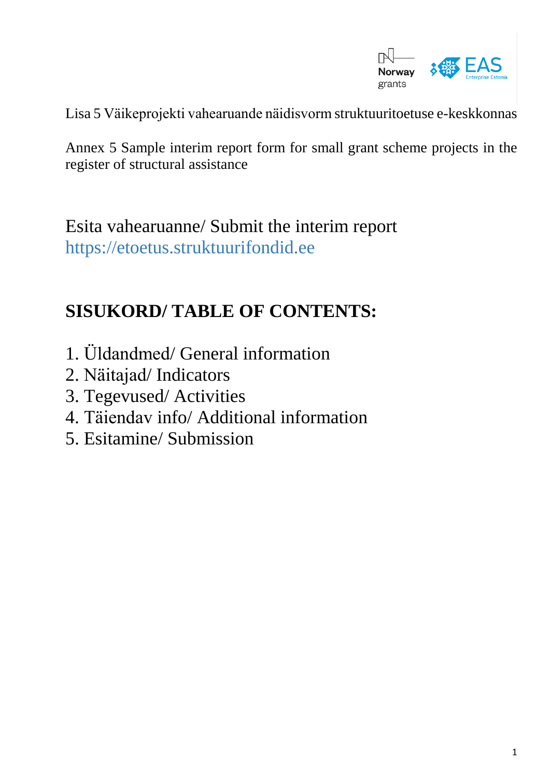

Lisa 5 Väikeprojekti vahearuande näidisvorm struktuuritoetuse e-keskkonnas

Annex 5 Sample interim report form for small grant scheme projects in the register of structural assistance

Esita vahearuanne/ Submit the interim report [https://etoetus.struktuurifondid.ee](https://etoetus.struktuurifondid.ee/)

#### **SISUKORD/ TABLE OF CONTENTS:**

- 1. Üldandmed/ General information
- 2. Näitajad/ Indicators
- 3. Tegevused/ Activities
- 4. Täiendav info/ Additional information
- 5. Esitamine/ Submission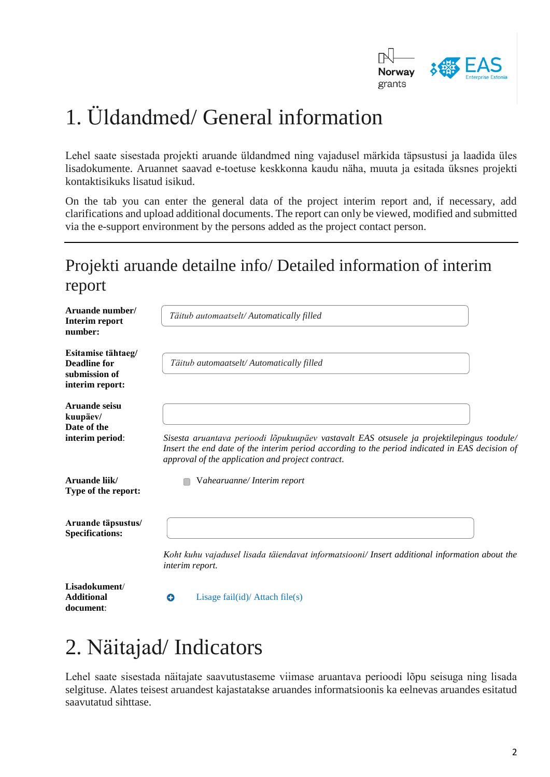

# 1. Üldandmed/ General information

Lehel saate sisestada projekti aruande üldandmed ning vajadusel märkida täpsustusi ja laadida üles lisadokumente. Aruannet saavad e-toetuse keskkonna kaudu näha, muuta ja esitada üksnes projekti kontaktisikuks lisatud isikud.

On the tab you can enter the general data of the project interim report and, if necessary, add clarifications and upload additional documents. The report can only be viewed, modified and submitted via the e-support environment by the persons added as the project contact person.

#### Projekti aruande detailne info/ Detailed information of interim report

| Aruande number/<br>Interim report<br>number:                                  | Täitub automaatselt/Automatically filled                                                                                                                                                                                                          |
|-------------------------------------------------------------------------------|---------------------------------------------------------------------------------------------------------------------------------------------------------------------------------------------------------------------------------------------------|
| Esitamise tähtaeg/<br><b>Deadline for</b><br>submission of<br>interim report: | Täitub automaatselt/ Automatically filled                                                                                                                                                                                                         |
| Aruande seisu<br>kuupäev/<br>Date of the<br>interim period:                   | Sisesta aruantava perioodi lõpukuupäev vastavalt EAS otsusele ja projektilepingus toodule/<br>Insert the end date of the interim period according to the period indicated in EAS decision of<br>approval of the application and project contract. |
| Aruande liik/<br>Type of the report:                                          | Vahearuanne/Interim report                                                                                                                                                                                                                        |
| Aruande täpsustus/<br><b>Specifications:</b>                                  | Koht kuhu vajadusel lisada täiendavat informatsiooni/ Insert additional information about the<br>interim report.                                                                                                                                  |
| Lisadokument/<br><b>Additional</b>                                            | Lisage $fail(id)/$ Attach $file(s)$<br>o                                                                                                                                                                                                          |

## 2. Näitajad/ Indicators

**document**:

Lehel saate sisestada näitajate saavutustaseme viimase aruantava perioodi lõpu seisuga ning lisada selgituse. Alates teisest aruandest kajastatakse aruandes informatsioonis ka eelnevas aruandes esitatud saavutatud sihttase.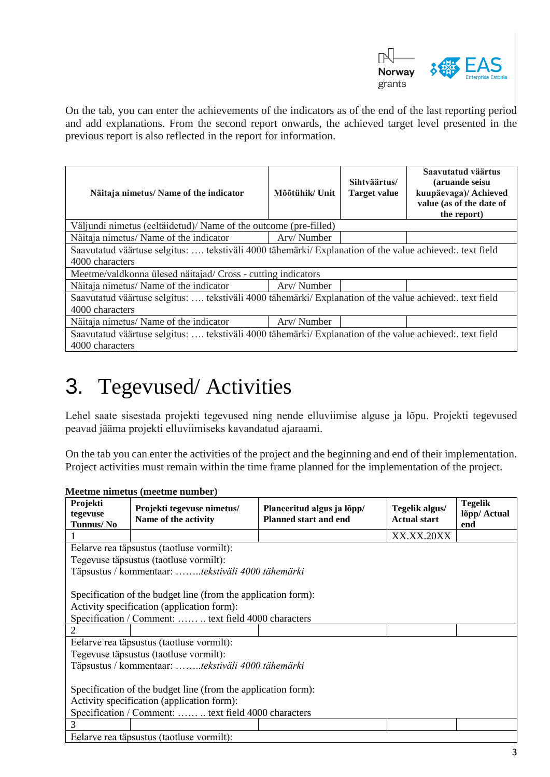

On the tab, you can enter the achievements of the indicators as of the end of the last reporting period and add explanations. From the second report onwards, the achieved target level presented in the previous report is also reflected in the report for information.

| Näitaja nimetus/ Name of the indicator                                                                  | Mõõtühik/Unit | Sihtväärtus/<br><b>Target value</b> | Saavutatud väärtus<br>(aruande seisu<br>kuupäevaga)/ Achieved<br>value (as of the date of<br>the report) |  |  |
|---------------------------------------------------------------------------------------------------------|---------------|-------------------------------------|----------------------------------------------------------------------------------------------------------|--|--|
| Väljundi nimetus (eeltäidetud)/ Name of the outcome (pre-filled)                                        |               |                                     |                                                                                                          |  |  |
| Näitaja nimetus/ Name of the indicator                                                                  | Arv/Number    |                                     |                                                                                                          |  |  |
| Saavutatud väärtuse selgitus:  tekstiväli 4000 tähemärki/ Explanation of the value achieved: text field |               |                                     |                                                                                                          |  |  |
| 4000 characters                                                                                         |               |                                     |                                                                                                          |  |  |
| Meetme/valdkonna ülesed näitajad/ Cross - cutting indicators                                            |               |                                     |                                                                                                          |  |  |
| Näitaja nimetus/ Name of the indicator                                                                  | Arv/Number    |                                     |                                                                                                          |  |  |
| Saavutatud väärtuse selgitus:  tekstiväli 4000 tähemärki/ Explanation of the value achieved: text field |               |                                     |                                                                                                          |  |  |
| 4000 characters                                                                                         |               |                                     |                                                                                                          |  |  |
| Näitaja nimetus/ Name of the indicator                                                                  | Arv/Number    |                                     |                                                                                                          |  |  |
| Saavutatud väärtuse selgitus:  tekstiväli 4000 tähemärki/ Explanation of the value achieved: text field |               |                                     |                                                                                                          |  |  |
| 4000 characters                                                                                         |               |                                     |                                                                                                          |  |  |

## 3. Tegevused/ Activities

Lehel saate sisestada projekti tegevused ning nende elluviimise alguse ja lõpu. Projekti tegevused peavad jääma projekti elluviimiseks kavandatud ajaraami.

On the tab you can enter the activities of the project and the beginning and end of their implementation. Project activities must remain within the time frame planned for the implementation of the project.

**Meetme nimetus (meetme number)**

| Projekti<br>tegevuse                                          | Projekti tegevuse nimetus/<br>Name of the activity | Planeeritud algus ja lõpp/<br><b>Planned start and end</b> | Tegelik algus/<br><b>Actual start</b> | <b>Tegelik</b><br>lõpp/ Actual |  |
|---------------------------------------------------------------|----------------------------------------------------|------------------------------------------------------------|---------------------------------------|--------------------------------|--|
| Tunnus/No                                                     |                                                    |                                                            |                                       | end                            |  |
|                                                               |                                                    |                                                            | XX.XX.20XX                            |                                |  |
| Eelarve rea täpsustus (taotluse vormilt):                     |                                                    |                                                            |                                       |                                |  |
| Tegevuse täpsustus (taotluse vormilt):                        |                                                    |                                                            |                                       |                                |  |
| Täpsustus / kommentaar: tekstiväli 4000 tähemärki             |                                                    |                                                            |                                       |                                |  |
|                                                               |                                                    |                                                            |                                       |                                |  |
| Specification of the budget line (from the application form): |                                                    |                                                            |                                       |                                |  |
| Activity specification (application form):                    |                                                    |                                                            |                                       |                                |  |
| Specification / Comment:   text field 4000 characters         |                                                    |                                                            |                                       |                                |  |
|                                                               |                                                    |                                                            |                                       |                                |  |
| Eelarve rea täpsustus (taotluse vormilt):                     |                                                    |                                                            |                                       |                                |  |
| Tegevuse täpsustus (taotluse vormilt):                        |                                                    |                                                            |                                       |                                |  |
| Täpsustus / kommentaar: tekstiväli 4000 tähemärki             |                                                    |                                                            |                                       |                                |  |
|                                                               |                                                    |                                                            |                                       |                                |  |
| Specification of the budget line (from the application form): |                                                    |                                                            |                                       |                                |  |
| Activity specification (application form):                    |                                                    |                                                            |                                       |                                |  |
| Specification / Comment:   text field 4000 characters         |                                                    |                                                            |                                       |                                |  |
| 3                                                             |                                                    |                                                            |                                       |                                |  |
| Eelarve rea täpsustus (taotluse vormilt):                     |                                                    |                                                            |                                       |                                |  |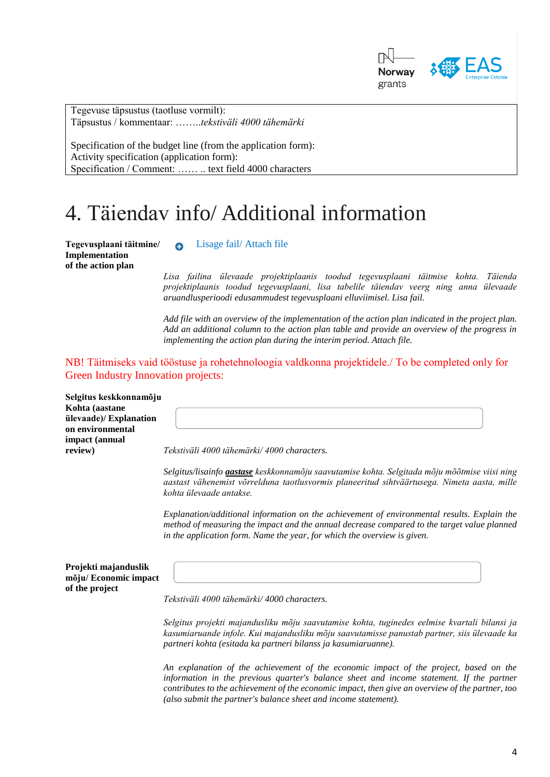

Tegevuse täpsustus (taotluse vormilt): Täpsustus / kommentaar: ……..*tekstiväli 4000 tähemärki*

Specification of the budget line (from the application form): Activity specification (application form): Specification / Comment: …… .. text field 4000 characters

#### 4. Täiendav info/ Additional information

**Implementation of the action plan** 

**Tegevusplaani täitmine/** Lisage fail/ Attach file

*Lisa failina ülevaade projektiplaanis toodud tegevusplaani täitmise kohta. Täienda projektiplaanis toodud tegevusplaani, lisa tabelile täiendav veerg ning anna ülevaade aruandlusperioodi edusammudest tegevusplaani elluviimisel. Lisa fail.* 

*Add file with an overview of the implementation of the action plan indicated in the project plan. Add an additional column to the action plan table and provide an overview of the progress in implementing the action plan during the interim period. Attach file.*

NB! Täitmiseks vaid tööstuse ja rohetehnoloogia valdkonna projektidele./ To be completed only for Green Industry Innovation projects:

| Selgitus keskkonnamõju<br>Kohta (aastane<br>ülevaade)/ Explanation<br>on environmental |                                                                                                                                                                                                                                                                                       |
|----------------------------------------------------------------------------------------|---------------------------------------------------------------------------------------------------------------------------------------------------------------------------------------------------------------------------------------------------------------------------------------|
| impact (annual<br>review)                                                              | Tekstiväli 4000 tähemärki/4000 characters.                                                                                                                                                                                                                                            |
|                                                                                        | Selgitus/lisainfo <i>aastase</i> keskkonnamõju saavutamise kohta. Selgitada mõju mõõtmise viisi ning<br>aastast vähenemist võrrelduna taotlusvormis planeeritud sihtväärtusega. Nimeta aasta, mille<br>kohta ülevaade antakse.                                                        |
|                                                                                        | Explanation/additional information on the achievement of environmental results. Explain the<br>method of measuring the impact and the annual decrease compared to the target value planned<br>in the application form. Name the year, for which the overview is given.                |
| Projekti majanduslik<br>mõju/Economic impact<br>of the project                         |                                                                                                                                                                                                                                                                                       |
|                                                                                        | Tekstiväli 4000 tähemärki/4000 characters.                                                                                                                                                                                                                                            |
|                                                                                        | Selgitus projekti majandusliku mõju saavutamise kohta, tuginedes eelmise kvartali bilansi ja<br>kasumiaruande infole. Kui majandusliku mõju saavutamisse panustab partner, siis ülevaade ka<br>partneri kohta (esitada ka partneri bilanss ja kasumiaruanne).                         |
|                                                                                        | An explanation of the achievement of the economic impact of the project, based on the<br>information in the previous quarter's balance sheet and income statement. If the partner<br>contributes to the achievement of the economic impact, then give an overview of the partner, too |

*(also submit the partner's balance sheet and income statement).*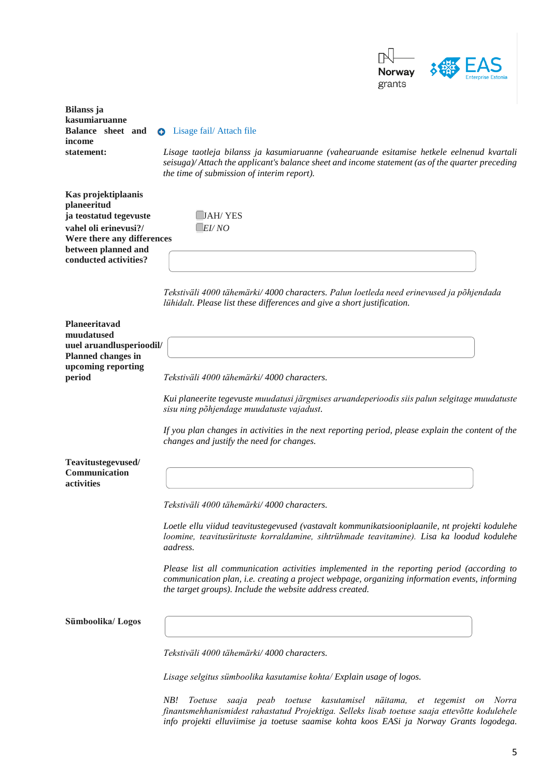

**Bilanss ja kasumiaruanne Balance sheet and**  $\bullet$  Lisage fail/ Attach file **income** 

**statement:** *Lisage taotleja bilanss ja kasumiaruanne (vahearuande esitamise hetkele eelnenud kvartali seisuga)/ Attach the applicant's balance sheet and income statement (as of the quarter preceding the time of submission of interim report).*

**Kas projektiplaanis planeeritud ja teostatud tegevuste** JAH/ YES **vahel oli erinevusi?/** *EI/ NO* **Were there any differences between planned and conducted activities?**

*Tekstiväli 4000 tähemärki/ 4000 characters. Palun loetleda need erinevused ja põhjendada lühidalt. Please list these differences and give a short justification.* 

**Planeeritavad muudatused uuel aruandlusperioodil/ Planned changes in upcoming reporting** 

**period** *Tekstiväli 4000 tähemärki/ 4000 characters.*

*Kui planeerite tegevuste muudatusi järgmises aruandeperioodis siis palun selgitage muudatuste sisu ning põhjendage muudatuste vajadust.*

*If you plan changes in activities in the next reporting period, please explain the content of the changes and justify the need for changes.* 

**Teavitustegevused/ Communication activities**

*Tekstiväli 4000 tähemärki/ 4000 characters.*

*Loetle ellu viidud teavitustegevused (vastavalt kommunikatsiooniplaanile, nt projekti kodulehe loomine, teavitusürituste korraldamine, sihtrühmade teavitamine). Lisa ka loodud kodulehe aadress.*

*Please list all communication activities implemented in the reporting period (according to communication plan, i.e. creating a project webpage, organizing information events, informing the target groups). Include the website address created.*

**Sümboolika/ Logos**

*Tekstiväli 4000 tähemärki/ 4000 characters.*

*Lisage selgitus sümboolika kasutamise kohta/ Explain usage of logos.*

*NB! Toetuse saaja peab toetuse kasutamisel näitama, et tegemist on Norra finantsmehhanismidest rahastatud Projektiga. Selleks lisab toetuse saaja ettevõtte kodulehele info projekti elluviimise ja toetuse saamise kohta koos EASi ja Norway Grants logodega.*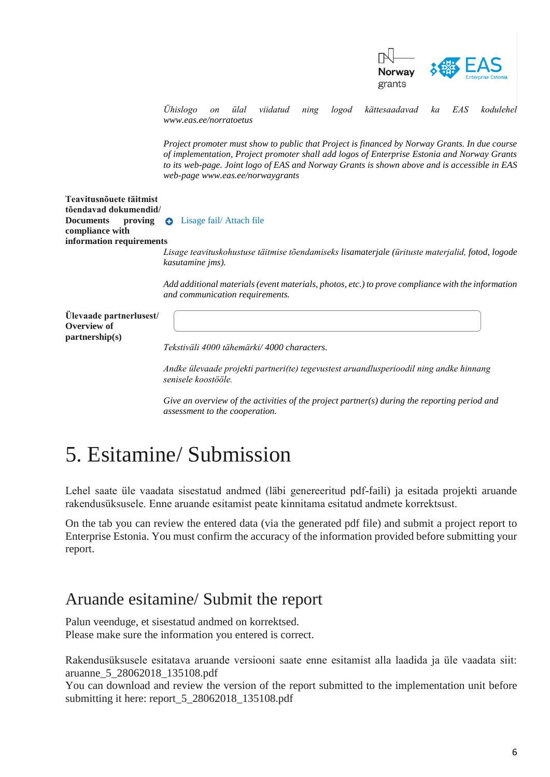

*Ühislogo on ülal viidatud ning logod kättesaadavad ka EAS kodulehel [www.eas.ee/norratoetus](http://www.eas.ee/norratoetus)* 

*Project promoter must show to public that Project is financed by Norway Grants. In due course of implementation, Project promoter shall add logos of Enterprise Estonia and Norway Grants to its web-page. Joint logo of EAS and Norway Grants is shown above and is accessible in EAS web-pag[e www.eas.ee/norwaygrants](http://www.eas.ee/norwaygrants)*

**Teavitusnõuete täitmist tõendavad dokumendid/ Documents proving C** Lisage fail/ Attach file **compliance with information requirements**

*Lisage teavituskohustuse täitmise tõendamiseks lisamaterjale (ürituste materjalid, fotod, logode kasutamine jms).*

*Add additional materials (event materials, photos, etc.) to prove compliance with the information and communication requirements.* 

**Ülevaade partnerlusest/ Overview of partnership(s)**

*Tekstiväli 4000 tähemärki/ 4000 characters.*

*Andke ülevaade projekti partneri(te) tegevustest aruandlusperioodil ning andke hinnang senisele koostööle.* 

*Give an overview of the activities of the project partner(s) during the reporting period and assessment to the cooperation.*

## 5. Esitamine/ Submission

Lehel saate üle vaadata sisestatud andmed (läbi genereeritud pdf-faili) ja esitada projekti aruande rakendusüksusele. Enne aruande esitamist peate kinnitama esitatud andmete korrektsust.

On the tab you can review the entered data (via the generated pdf file) and submit a project report to Enterprise Estonia. You must confirm the accuracy of the information provided before submitting your report.

#### Aruande esitamine/ Submit the report

Palun veenduge, et sisestatud andmed on korrektsed. Please make sure the information you entered is correct.

Rakendusüksusele esitatava aruande versiooni saate enne esitamist alla laadida ja üle vaadata siit: aruanne\_5\_28062018\_135108.pdf

You can download and review the version of the report submitted to the implementation unit before submitting it here: report\_5\_28062018\_135108.pdf